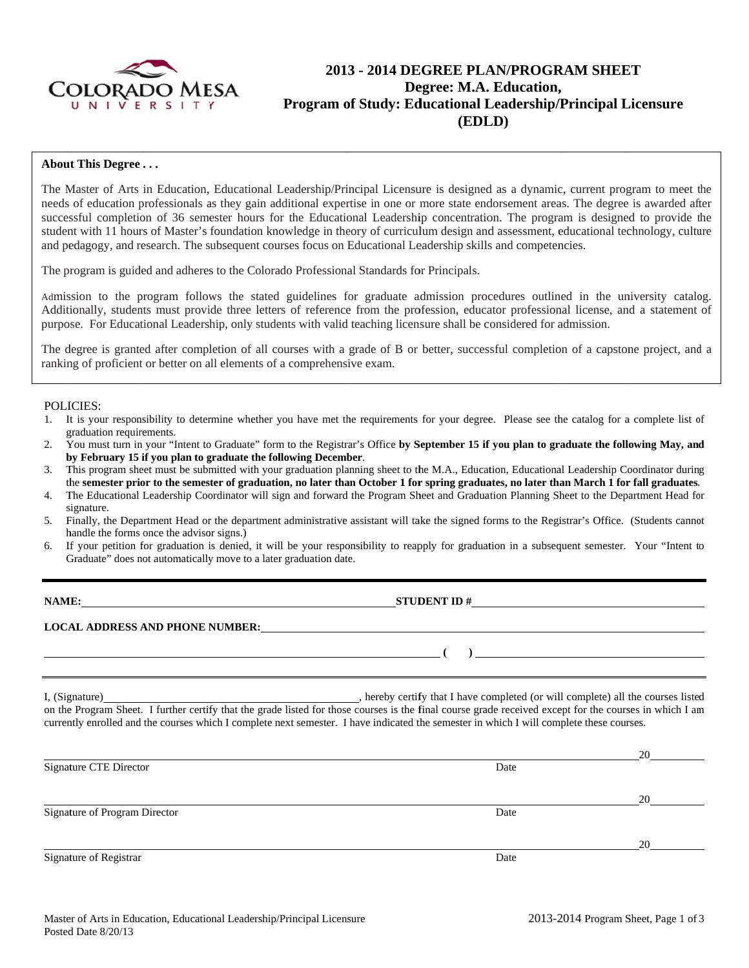

# 2013 - 2014 DEGREE PLAN/PROGRAM SHEET Degree: M.A. Education, Program of Study: Educational Leadership/Principal Licensure (EDLD)

## **About This Degree...**

The Master of Arts in Education, Educational Leadership/Principal Licensure is designed as a dynamic, current program to meet the needs of education professionals as they gain additional expertise in one or more state endorsement areas. The degree is awarded after successful completion of 36 semester hours for the Educational Leadership concentration. The program is designed to provide the student with 11 hours of Master's foundation knowledge in theory of curriculum design and assessment, educational technology, culture and pedagogy, and research. The subsequent courses focus on Educational Leadership skills and competencies.

The program is guided and adheres to the Colorado Professional Standards for Principals.

Admission to the program follows the stated guidelines for graduate admission procedures outlined in the university catalog. Additionally, students must provide three letters of reference from the profession, educator professional license, and a statement of purpose. For Educational Leadership, only students with valid teaching licensure shall be considered for admission.

The degree is granted after completion of all courses with a grade of B or better, successful completion of a capstone project, and a ranking of proficient or better on all elements of a comprehensive exam.

### **POLICIES:**

- 1. It is your responsibility to determine whether you have met the requirements for your degree. Please see the catalog for a complete list of graduation requirements.
- You must turn in your "Intent to Graduate" form to the Registrar's Office by September 15 if you plan to graduate the following May, and  $2<sub>1</sub>$ by February 15 if you plan to graduate the following December.
- This program sheet must be submitted with your graduation planning sheet to the M.A., Education, Educational Leadership Coordinator during 3. the semester prior to the semester of graduation, no later than October 1 for spring graduates, no later than March 1 for fall graduates.
- The Educational Leadership Coordinator will sign and forward the Program Sheet and Graduation Planning Sheet to the Department Head for  $\mathbf{4}$ . signature.
- Finally, the Department Head or the department administrative assistant will take the signed forms to the Registrar's Office. (Students cannot  $5.$ handle the forms once the advisor signs.)
- If your petition for graduation is denied, it will be your responsibility to reapply for graduation in a subsequent semester. Your "Intent to 6 Graduate" does not automatically move to a later graduation date.

| I A M H |  |
|---------|--|
|         |  |

STUDENT ID  $#$ 

 $\left(\begin{array}{c}1\end{array}\right)$ 

### **LOCAL ADDRESS AND PHONE NUMBER:**

hereby certify that I have completed (or will complete) all the courses listed I, (Signature) on the Program Sheet. I further certify that the grade listed for those courses is the final course grade received except for the courses in which I am currently enrolled and the courses which I complete next semester. I have indicated the semester in which I will complete these courses.

|                               |      | 20 |
|-------------------------------|------|----|
| Signature CTE Director        | Date |    |
|                               |      |    |
|                               |      | 20 |
| Signature of Program Director | Date |    |
|                               |      |    |
|                               |      | 20 |
| Signature of Registrar        | Date |    |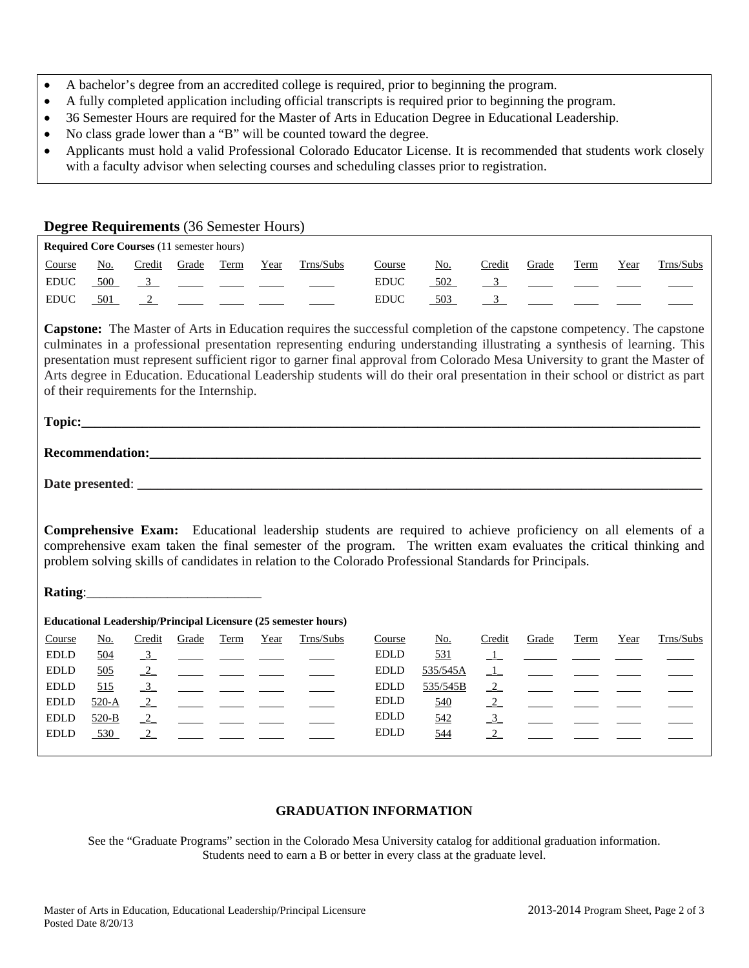- A bachelor's degree from an accredited college is required, prior to beginning the program.
- A fully completed application including official transcripts is required prior to beginning the program.
- 36 Semester Hours are required for the Master of Arts in Education Degree in Educational Leadership.
- No class grade lower than a "B" will be counted toward the degree.
- Applicants must hold a valid Professional Colorado Educator License. It is recommended that students work closely with a faculty advisor when selecting courses and scheduling classes prior to registration.

|                                                                                                                                                                                                                                                                                                                                                                                                                             |                           |                      | <b>Degree Requirements (36 Semester Hours)</b>          |                                                                     |      |                                                                                                                                                                                                                                                                                                                                                                                                                                                                                                                         |                              |                             |                         |                          |             |      |           |
|-----------------------------------------------------------------------------------------------------------------------------------------------------------------------------------------------------------------------------------------------------------------------------------------------------------------------------------------------------------------------------------------------------------------------------|---------------------------|----------------------|---------------------------------------------------------|---------------------------------------------------------------------|------|-------------------------------------------------------------------------------------------------------------------------------------------------------------------------------------------------------------------------------------------------------------------------------------------------------------------------------------------------------------------------------------------------------------------------------------------------------------------------------------------------------------------------|------------------------------|-----------------------------|-------------------------|--------------------------|-------------|------|-----------|
|                                                                                                                                                                                                                                                                                                                                                                                                                             |                           |                      | <b>Required Core Courses (11 semester hours)</b>        |                                                                     |      |                                                                                                                                                                                                                                                                                                                                                                                                                                                                                                                         |                              |                             |                         |                          |             |      |           |
| Course                                                                                                                                                                                                                                                                                                                                                                                                                      | $\underline{\text{No}}$ . |                      | Credit Grade Term                                       |                                                                     | Year | Trns/Subs                                                                                                                                                                                                                                                                                                                                                                                                                                                                                                               | Course                       | <u>No.</u>                  | Credit                  | Grade                    | <b>Term</b> | Year | Trns/Subs |
| <b>EDUC</b>                                                                                                                                                                                                                                                                                                                                                                                                                 | 500                       |                      | $\frac{3}{2}$ $\frac{1}{2}$ $\frac{1}{2}$ $\frac{1}{2}$ |                                                                     |      |                                                                                                                                                                                                                                                                                                                                                                                                                                                                                                                         | <b>EDUC</b>                  | 502                         | $\frac{3}{2}$           | $\frac{1}{2}$            |             |      |           |
| $\mathop{\rm EDUC}\nolimits$                                                                                                                                                                                                                                                                                                                                                                                                | 501                       | $\frac{2}{2}$        |                                                         |                                                                     |      |                                                                                                                                                                                                                                                                                                                                                                                                                                                                                                                         | $\mathop{\rm EDUC}\nolimits$ | 503                         | $\frac{3}{2}$           |                          |             |      |           |
|                                                                                                                                                                                                                                                                                                                                                                                                                             |                           |                      | of their requirements for the Internship.               |                                                                     |      | <b>Capstone:</b> The Master of Arts in Education requires the successful completion of the capstone competency. The capstone<br>culminates in a professional presentation representing enduring understanding illustrating a synthesis of learning. This<br>presentation must represent sufficient rigor to garner final approval from Colorado Mesa University to grant the Master of<br>Arts degree in Education. Educational Leadership students will do their oral presentation in their school or district as part |                              |                             |                         |                          |             |      |           |
|                                                                                                                                                                                                                                                                                                                                                                                                                             |                           |                      |                                                         |                                                                     |      |                                                                                                                                                                                                                                                                                                                                                                                                                                                                                                                         |                              |                             |                         |                          |             |      |           |
|                                                                                                                                                                                                                                                                                                                                                                                                                             |                           |                      |                                                         |                                                                     |      |                                                                                                                                                                                                                                                                                                                                                                                                                                                                                                                         |                              |                             |                         |                          |             |      |           |
|                                                                                                                                                                                                                                                                                                                                                                                                                             |                           |                      |                                                         |                                                                     |      |                                                                                                                                                                                                                                                                                                                                                                                                                                                                                                                         |                              |                             |                         |                          |             |      |           |
| <b>Comprehensive Exam:</b> Educational leadership students are required to achieve proficiency on all elements of a<br>comprehensive exam taken the final semester of the program. The written exam evaluates the critical thinking and<br>problem solving skills of candidates in relation to the Colorado Professional Standards for Principals.<br><b>Educational Leadership/Principal Licensure (25 semester hours)</b> |                           |                      |                                                         |                                                                     |      |                                                                                                                                                                                                                                                                                                                                                                                                                                                                                                                         |                              |                             |                         |                          |             |      |           |
| Course                                                                                                                                                                                                                                                                                                                                                                                                                      | <u>No.</u>                | Credit               | Grade                                                   | Term                                                                | Year | Trns/Subs                                                                                                                                                                                                                                                                                                                                                                                                                                                                                                               | Course                       | $\underline{\mathrm{No}}$ . | Credit                  | Grade                    | Term        | Year | Trns/Subs |
| <b>EDLD</b>                                                                                                                                                                                                                                                                                                                                                                                                                 | 504                       | $\frac{3}{2}$        |                                                         |                                                                     |      |                                                                                                                                                                                                                                                                                                                                                                                                                                                                                                                         | <b>EDLD</b>                  | 531                         | $\perp$                 |                          |             |      |           |
| $\operatorname{EDLD}$                                                                                                                                                                                                                                                                                                                                                                                                       | 505                       | $\frac{2}{\sqrt{2}}$ |                                                         |                                                                     |      |                                                                                                                                                                                                                                                                                                                                                                                                                                                                                                                         | <b>EDLD</b>                  | 535/545A                    | $\perp$                 |                          |             |      |           |
| $\operatorname{EDLD}$                                                                                                                                                                                                                                                                                                                                                                                                       | 515                       | $\frac{3}{2}$        |                                                         |                                                                     |      |                                                                                                                                                                                                                                                                                                                                                                                                                                                                                                                         | <b>EDLD</b>                  | 535/545B                    | $\frac{2}{\frac{2}{3}}$ |                          |             |      |           |
| <b>EDLD</b>                                                                                                                                                                                                                                                                                                                                                                                                                 | $520-A$                   |                      |                                                         | $\frac{1}{2}$ and $\frac{1}{2}$ and $\frac{1}{2}$ and $\frac{1}{2}$ |      |                                                                                                                                                                                                                                                                                                                                                                                                                                                                                                                         | <b>EDLD</b>                  | <u>540</u>                  |                         | $\overline{\phantom{a}}$ |             |      |           |
| <b>EDLD</b>                                                                                                                                                                                                                                                                                                                                                                                                                 | $520-B$                   | $\frac{2}{\sqrt{2}}$ |                                                         |                                                                     |      |                                                                                                                                                                                                                                                                                                                                                                                                                                                                                                                         | <b>EDLD</b>                  | 542                         |                         | $\frac{1}{2}$            |             |      |           |
| <b>EDLD</b>                                                                                                                                                                                                                                                                                                                                                                                                                 | 530                       | $\frac{2}{2}$        |                                                         |                                                                     |      |                                                                                                                                                                                                                                                                                                                                                                                                                                                                                                                         | <b>EDLD</b>                  | 544                         |                         |                          |             |      |           |

## **GRADUATION INFORMATION**

See the "Graduate Programs" section in the Colorado Mesa University catalog for additional graduation information. Students need to earn a B or better in every class at the graduate level.